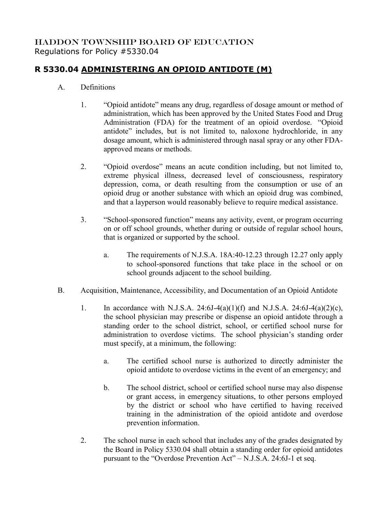## HADDON TOWNSHIP BOARD OF EDUCATION Regulations for Policy #5330.04

## **R 5330.04 ADMINISTERING AN OPIOID ANTIDOTE (M)**

- A. Definitions
	- 1. "Opioid antidote" means any drug, regardless of dosage amount or method of administration, which has been approved by the United States Food and Drug Administration (FDA) for the treatment of an opioid overdose. "Opioid antidote" includes, but is not limited to, naloxone hydrochloride, in any dosage amount, which is administered through nasal spray or any other FDAapproved means or methods.
	- 2. "Opioid overdose" means an acute condition including, but not limited to, extreme physical illness, decreased level of consciousness, respiratory depression, coma, or death resulting from the consumption or use of an opioid drug or another substance with which an opioid drug was combined, and that a layperson would reasonably believe to require medical assistance.
	- 3. "School-sponsored function" means any activity, event, or program occurring on or off school grounds, whether during or outside of regular school hours, that is organized or supported by the school.
		- a. The requirements of N.J.S.A. 18A:40-12.23 through 12.27 only apply to school-sponsored functions that take place in the school or on school grounds adjacent to the school building.
- B. Acquisition, Maintenance, Accessibility, and Documentation of an Opioid Antidote
	- 1. In accordance with N.J.S.A. 24:6J-4(a)(1)(f) and N.J.S.A. 24:6J-4(a)(2)(c), the school physician may prescribe or dispense an opioid antidote through a standing order to the school district, school, or certified school nurse for administration to overdose victims. The school physician's standing order must specify, at a minimum, the following:
		- a. The certified school nurse is authorized to directly administer the opioid antidote to overdose victims in the event of an emergency; and
		- b. The school district, school or certified school nurse may also dispense or grant access, in emergency situations, to other persons employed by the district or school who have certified to having received training in the administration of the opioid antidote and overdose prevention information.
	- 2. The school nurse in each school that includes any of the grades designated by the Board in Policy 5330.04 shall obtain a standing order for opioid antidotes pursuant to the "Overdose Prevention Act" – N.J.S.A. 24:6J-1 et seq.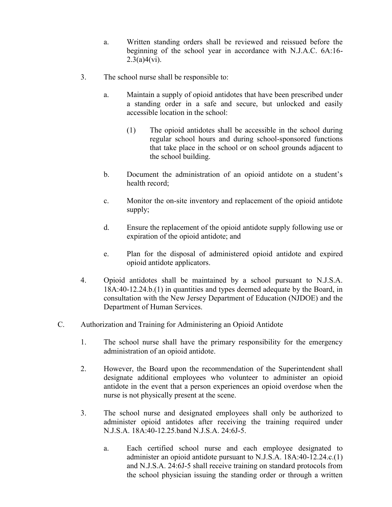- a. Written standing orders shall be reviewed and reissued before the beginning of the school year in accordance with N.J.A.C. 6A:16-  $2.3(a)4(vi)$ .
- 3. The school nurse shall be responsible to:
	- a. Maintain a supply of opioid antidotes that have been prescribed under a standing order in a safe and secure, but unlocked and easily accessible location in the school:
		- (1) The opioid antidotes shall be accessible in the school during regular school hours and during school-sponsored functions that take place in the school or on school grounds adjacent to the school building.
	- b. Document the administration of an opioid antidote on a student's health record;
	- c. Monitor the on-site inventory and replacement of the opioid antidote supply;
	- d. Ensure the replacement of the opioid antidote supply following use or expiration of the opioid antidote; and
	- e. Plan for the disposal of administered opioid antidote and expired opioid antidote applicators.
- 4. Opioid antidotes shall be maintained by a school pursuant to N.J.S.A. 18A:40-12.24.b.(1) in quantities and types deemed adequate by the Board, in consultation with the New Jersey Department of Education (NJDOE) and the Department of Human Services.
- C. Authorization and Training for Administering an Opioid Antidote
	- 1. The school nurse shall have the primary responsibility for the emergency administration of an opioid antidote.
	- 2. However, the Board upon the recommendation of the Superintendent shall designate additional employees who volunteer to administer an opioid antidote in the event that a person experiences an opioid overdose when the nurse is not physically present at the scene.
	- 3. The school nurse and designated employees shall only be authorized to administer opioid antidotes after receiving the training required under N.J.S.A. 18A:40-12.25.band N.J.S.A. 24:6J-5.
		- a. Each certified school nurse and each employee designated to administer an opioid antidote pursuant to N.J.S.A. 18A:40-12.24.c.(1) and N.J.S.A. 24:6J-5 shall receive training on standard protocols from the school physician issuing the standing order or through a written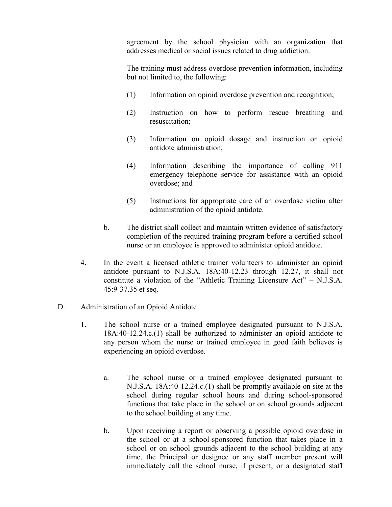agreement by the school physician with an organization that addresses medical or social issues related to drug addiction.

The training must address overdose prevention information, including but not limited to, the following:

- (1) Information on opioid overdose prevention and recognition;
- (2) Instruction on how to perform rescue breathing and resuscitation;
- (3) Information on opioid dosage and instruction on opioid antidote administration;
- (4) Information describing the importance of calling 911 emergency telephone service for assistance with an opioid overdose; and
- (5) Instructions for appropriate care of an overdose victim after administration of the opioid antidote.
- b. The district shall collect and maintain written evidence of satisfactory completion of the required training program before a certified school nurse or an employee is approved to administer opioid antidote.
- 4. In the event a licensed athletic trainer volunteers to administer an opioid antidote pursuant to N.J.S.A. 18A:40-12.23 through 12.27, it shall not constitute a violation of the "Athletic Training Licensure Act" – N.J.S.A. 45:9-37.35 et seq.
- D. Administration of an Opioid Antidote
	- 1. The school nurse or a trained employee designated pursuant to N.J.S.A. 18A:40-12.24.c.(1) shall be authorized to administer an opioid antidote to any person whom the nurse or trained employee in good faith believes is experiencing an opioid overdose.
		- a. The school nurse or a trained employee designated pursuant to N.J.S.A. 18A:40-12.24.c.(1) shall be promptly available on site at the school during regular school hours and during school-sponsored functions that take place in the school or on school grounds adjacent to the school building at any time.
		- b. Upon receiving a report or observing a possible opioid overdose in the school or at a school-sponsored function that takes place in a school or on school grounds adjacent to the school building at any time, the Principal or designee or any staff member present will immediately call the school nurse, if present, or a designated staff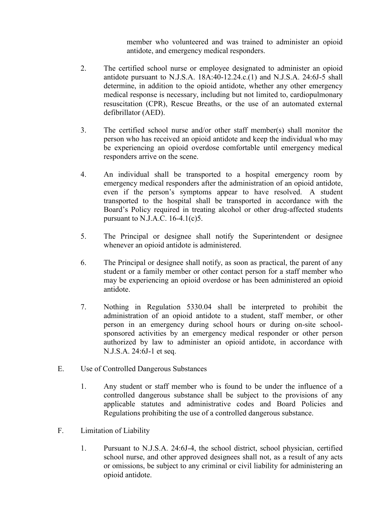member who volunteered and was trained to administer an opioid antidote, and emergency medical responders.

- 2. The certified school nurse or employee designated to administer an opioid antidote pursuant to N.J.S.A. 18A:40-12.24.c.(1) and N.J.S.A. 24:6J-5 shall determine, in addition to the opioid antidote, whether any other emergency medical response is necessary, including but not limited to, cardiopulmonary resuscitation (CPR), Rescue Breaths, or the use of an automated external defibrillator (AED).
- 3. The certified school nurse and/or other staff member(s) shall monitor the person who has received an opioid antidote and keep the individual who may be experiencing an opioid overdose comfortable until emergency medical responders arrive on the scene.
- 4. An individual shall be transported to a hospital emergency room by emergency medical responders after the administration of an opioid antidote, even if the person's symptoms appear to have resolved. A student transported to the hospital shall be transported in accordance with the Board's Policy required in treating alcohol or other drug-affected students pursuant to N.J.A.C. 16-4.1(c)5.
- 5. The Principal or designee shall notify the Superintendent or designee whenever an opioid antidote is administered.
- 6. The Principal or designee shall notify, as soon as practical, the parent of any student or a family member or other contact person for a staff member who may be experiencing an opioid overdose or has been administered an opioid antidote.
- 7. Nothing in Regulation 5330.04 shall be interpreted to prohibit the administration of an opioid antidote to a student, staff member, or other person in an emergency during school hours or during on-site schoolsponsored activities by an emergency medical responder or other person authorized by law to administer an opioid antidote, in accordance with N.J.S.A. 24:6J-1 et seq.
- E. Use of Controlled Dangerous Substances
	- 1. Any student or staff member who is found to be under the influence of a controlled dangerous substance shall be subject to the provisions of any applicable statutes and administrative codes and Board Policies and Regulations prohibiting the use of a controlled dangerous substance.
- F. Limitation of Liability
	- 1. Pursuant to N.J.S.A. 24:6J-4, the school district, school physician, certified school nurse, and other approved designees shall not, as a result of any acts or omissions, be subject to any criminal or civil liability for administering an opioid antidote.